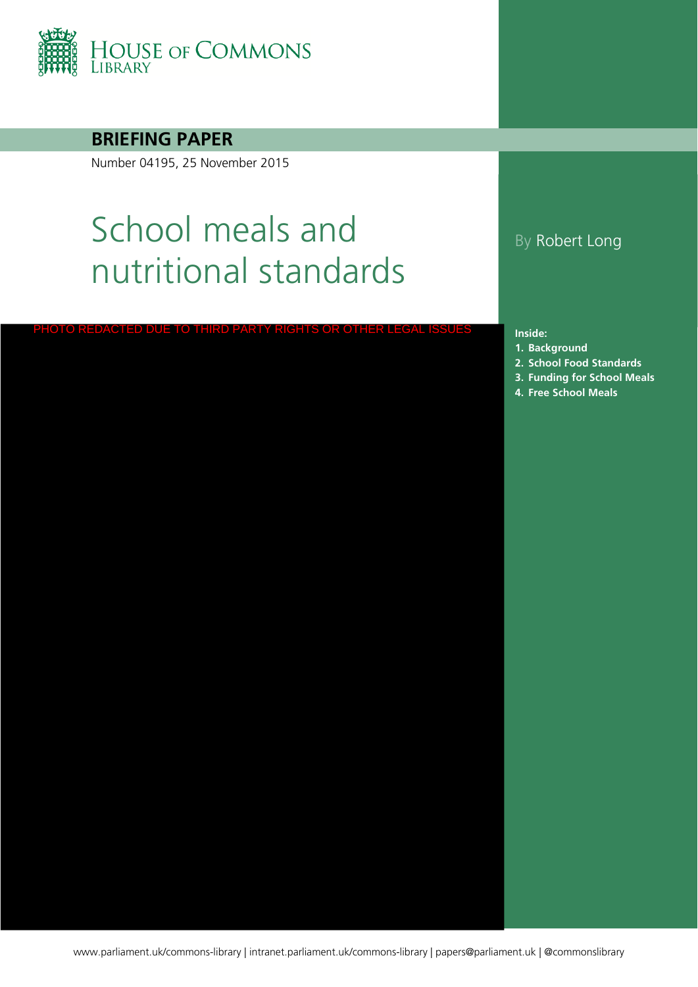

**BRIEFING PAPER**

Number 04195, 25 November 2015

# School meals and nutritional standards

### By Robert Long

**Inside:**

- **1. [Background](#page-3-0)**
- **2. [School Food Standards](#page-4-0)**
- **3. [Funding for School Meals](#page-6-0)** PHOTO REDACTED DUE TO THIRD PARTY RIGHTS OR OTHER LEGAL ISSUES Inside:<br>1. Background 1. Background<br>2. School Food Stand<br>3. Funding for Schoo
	-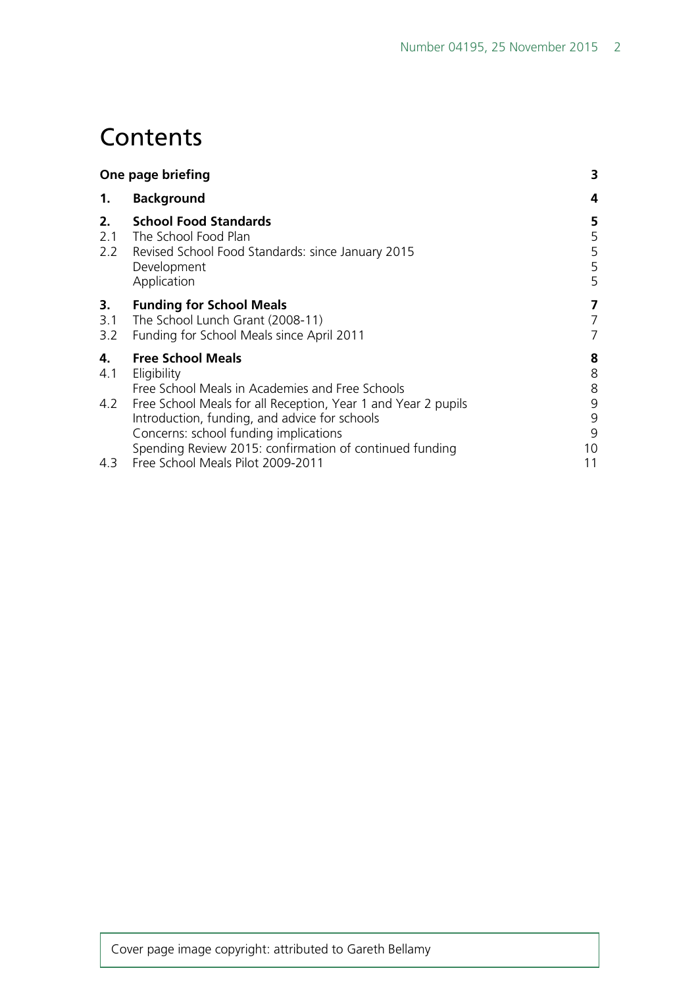# **Contents**

| One page briefing |                                                                                                                                                                                                                    | 3                            |
|-------------------|--------------------------------------------------------------------------------------------------------------------------------------------------------------------------------------------------------------------|------------------------------|
| 1.                | <b>Background</b>                                                                                                                                                                                                  | 4                            |
| 2.<br>2.1         | <b>School Food Standards</b><br>The School Food Plan<br>2.2 Revised School Food Standards: since January 2015<br>Development<br>Application                                                                        | 5<br>$\frac{5}{5}$<br>5<br>5 |
| 3.<br>3.1<br>3.2  | <b>Funding for School Meals</b><br>The School Lunch Grant (2008-11)<br>Funding for School Meals since April 2011                                                                                                   | 7<br>7<br>7                  |
| 4.<br>4.1         | <b>Free School Meals</b><br>Eligibility<br>Free School Meals in Academies and Free Schools                                                                                                                         | 8 <sup>8</sup><br>8          |
| 4.2               | Free School Meals for all Reception, Year 1 and Year 2 pupils<br>Introduction, funding, and advice for schools<br>Concerns: school funding implications<br>Spending Review 2015: confirmation of continued funding | 9<br>9<br>9<br>10            |
|                   | 4.3 Free School Meals Pilot 2009-2011                                                                                                                                                                              | 11                           |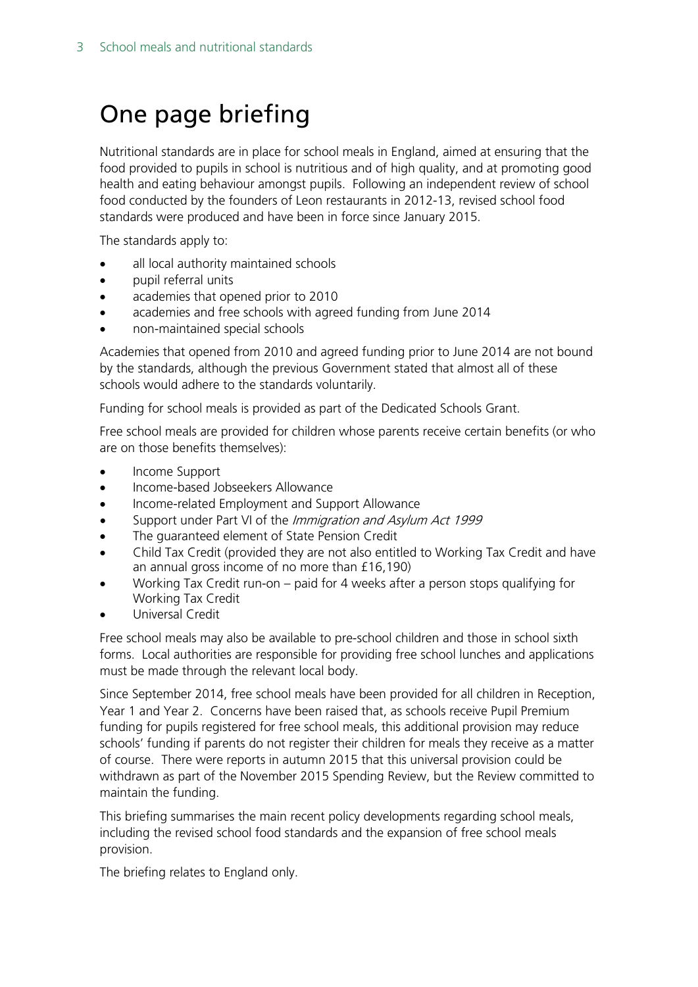# <span id="page-2-0"></span>One page briefing

Nutritional standards are in place for school meals in England, aimed at ensuring that the food provided to pupils in school is nutritious and of high quality, and at promoting good health and eating behaviour amongst pupils. Following an independent review of school food conducted by the founders of Leon restaurants in 2012-13, revised school food standards were produced and have been in force since January 2015.

The standards apply to:

- all local authority maintained schools
- pupil referral units
- academies that opened prior to 2010
- academies and free schools with agreed funding from June 2014
- non-maintained special schools

Academies that opened from 2010 and agreed funding prior to June 2014 are not bound by the standards, although the previous Government stated that almost all of these schools would adhere to the standards voluntarily.

Funding for school meals is provided as part of the Dedicated Schools Grant.

Free school meals are provided for children whose parents receive certain benefits (or who are on those benefits themselves):

- Income Support
- Income-based Jobseekers Allowance
- Income-related Employment and Support Allowance
- Support under Part VI of the Immigration and Asylum Act 1999
- The guaranteed element of State Pension Credit
- Child Tax Credit (provided they are not also entitled to Working Tax Credit and have an annual gross income of no more than £16,190)
- Working Tax Credit run-on paid for 4 weeks after a person stops qualifying for Working Tax Credit
- Universal Credit

Free school meals may also be available to pre-school children and those in school sixth forms. Local authorities are responsible for providing free school lunches and applications must be made through the relevant local body.

Since September 2014, free school meals have been provided for all children in Reception, Year 1 and Year 2. Concerns have been raised that, as schools receive Pupil Premium funding for pupils registered for free school meals, this additional provision may reduce schools' funding if parents do not register their children for meals they receive as a matter of course. There were reports in autumn 2015 that this universal provision could be withdrawn as part of the November 2015 Spending Review, but the Review committed to maintain the funding.

This briefing summarises the main recent policy developments regarding school meals, including the revised school food standards and the expansion of free school meals provision.

The briefing relates to England only.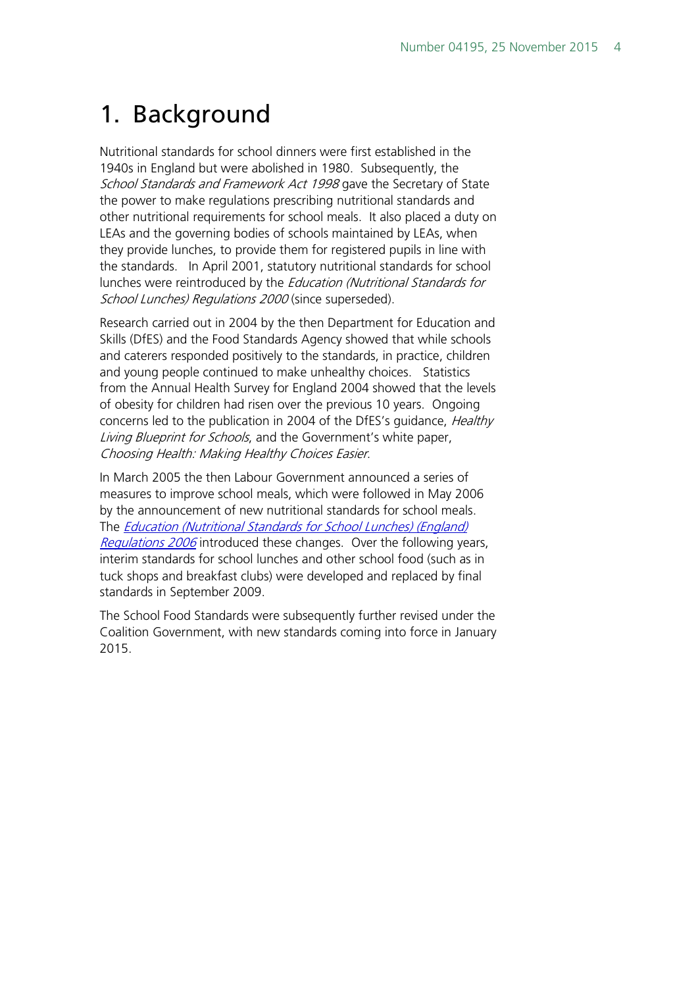# <span id="page-3-0"></span>1. Background

Nutritional standards for school dinners were first established in the 1940s in England but were abolished in 1980. Subsequently, the School Standards and Framework Act 1998 gave the Secretary of State the power to make regulations prescribing nutritional standards and other nutritional requirements for school meals. It also placed a duty on LEAs and the governing bodies of schools maintained by LEAs, when they provide lunches, to provide them for registered pupils in line with the standards. In April 2001, statutory nutritional standards for school lunches were reintroduced by the Education (Nutritional Standards for School Lunches) Regulations 2000 (since superseded).

Research carried out in 2004 by the then Department for Education and Skills (DfES) and the Food Standards Agency showed that while schools and caterers responded positively to the standards, in practice, children and young people continued to make unhealthy choices. Statistics from the Annual Health Survey for England 2004 showed that the levels of obesity for children had risen over the previous 10 years. Ongoing concerns led to the publication in 2004 of the DfES's guidance, *Healthy* Living Blueprint for Schools, and the Government's white paper, Choosing Health: Making Healthy Choices Easier.

In March 2005 the then Labour Government announced a series of measures to improve school meals, which were followed in May 2006 by the announcement of new nutritional standards for school meals. The [Education \(Nutritional Standards for School Lunches\) \(England\)](http://www.legislation.gov.uk/uksi/2006/2381/contents/made)  [Regulations 2006](http://www.legislation.gov.uk/uksi/2006/2381/contents/made) introduced these changes. Over the following years, interim standards for school lunches and other school food (such as in tuck shops and breakfast clubs) were developed and replaced by final standards in September 2009.

The School Food Standards were subsequently further revised under the Coalition Government, with new standards coming into force in January 2015.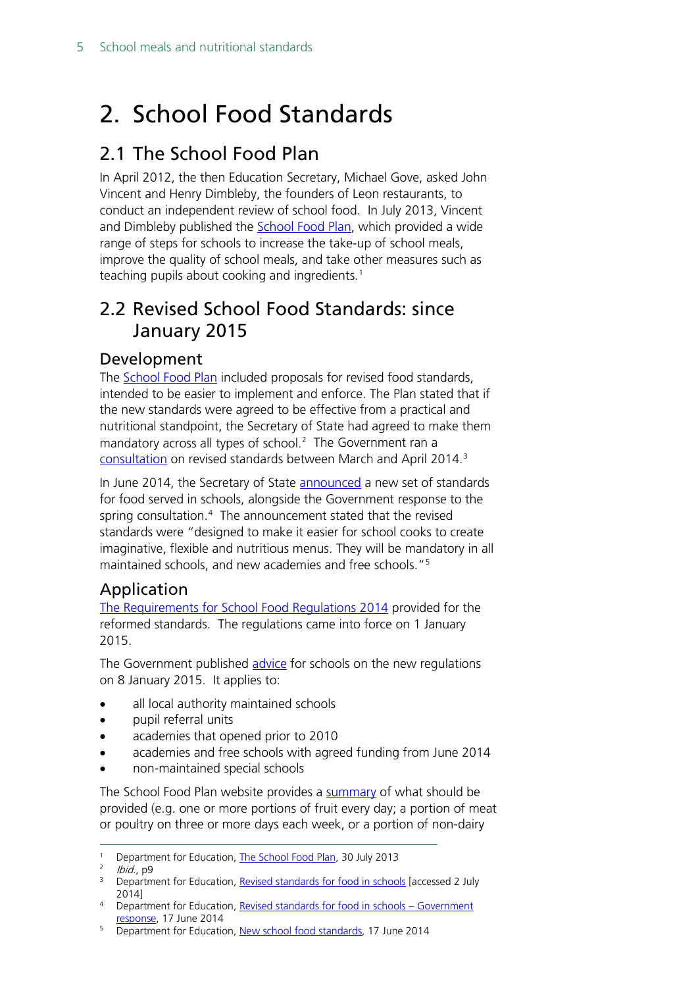# <span id="page-4-0"></span>2. School Food Standards

### <span id="page-4-1"></span>2.1 The School Food Plan

In April 2012, the then Education Secretary, Michael Gove, asked John Vincent and Henry Dimbleby, the founders of Leon restaurants, to conduct an independent review of school food. In July 2013, Vincent and Dimbleby published the [School Food Plan,](https://www.gov.uk/government/publications/the-school-food-plan) which provided a wide range of steps for schools to increase the take-up of school meals, improve the quality of school meals, and take other measures such as teaching pupils about cooking and ingredients.<sup>[1](#page-4-5)</sup>

### <span id="page-4-2"></span>2.2 Revised School Food Standards: since January 2015

#### <span id="page-4-3"></span>Development

The **School Food Plan** included proposals for revised food standards, intended to be easier to implement and enforce. The Plan stated that if the new standards were agreed to be effective from a practical and nutritional standpoint, the Secretary of State had agreed to make them mandatory across all types of school. [2](#page-4-6) The Government ran a [consultation](https://www.gov.uk/government/consultations/revised-standards-for-food-in-schools--2) on revised standards between March and April 2014.[3](#page-4-7)

In June 2014, the Secretary of State [announced](https://www.gov.uk/government/news/new-school-food-standards) a new set of standards for food served in schools, alongside the Government response to the spring consultation.[4](#page-4-8) The announcement stated that the revised standards were "designed to make it easier for school cooks to create imaginative, flexible and nutritious menus. They will be mandatory in all maintained schools, and new academies and free schools."[5](#page-4-9)

### <span id="page-4-4"></span>Application

[The Requirements for School Food Regulations 2014](http://www.legislation.gov.uk/uksi/2014/1603/contents/made) provided for the reformed standards. The regulations came into force on 1 January 2015.

The Government published [advice](https://www.gov.uk/government/uploads/system/uploads/attachment_data/file/393122/School_food_in_England_2015.pdf) for schools on the new regulations on 8 January 2015. It applies to:

- all local authority maintained schools
- pupil referral units
- academies that opened prior to 2010
- academies and free schools with agreed funding from June 2014
- non-maintained special schools

The School Food Plan website provides a [summary](http://www.schoolfoodplan.com/wp-content/uploads/2014/09/School_Food_Standards_140911-V2c-tea-towel.pdf) of what should be provided (e.g. one or more portions of fruit every day; a portion of meat or poultry on three or more days each week, or a portion of non-dairy

<span id="page-4-6"></span><span id="page-4-5"></span><sup>&</sup>lt;sup>1</sup> Department for Education, [The School Food Plan,](https://www.gov.uk/government/publications/the-school-food-plan) 30 July 2013

<sup>&</sup>lt;sup>2</sup> *Ibid.*, p9

<span id="page-4-7"></span><sup>&</sup>lt;sup>3</sup> Department for Education, [Revised standards for food in schools](https://www.gov.uk/government/consultations/revised-standards-for-food-in-schools--2) [accessed 2 July 2014]

<span id="page-4-8"></span><sup>4</sup> Department for Education, [Revised standards for food in schools –](https://www.gov.uk/government/uploads/system/uploads/attachment_data/file/320697/Government_Response_-_Revised_Standards_for_School_Food_Consultation_FINAL.pdf) Government [response,](https://www.gov.uk/government/uploads/system/uploads/attachment_data/file/320697/Government_Response_-_Revised_Standards_for_School_Food_Consultation_FINAL.pdf) 17 June 2014

<span id="page-4-9"></span><sup>&</sup>lt;sup>5</sup> Department for Education, [New school food standards,](https://www.gov.uk/government/news/new-school-food-standards) 17 June 2014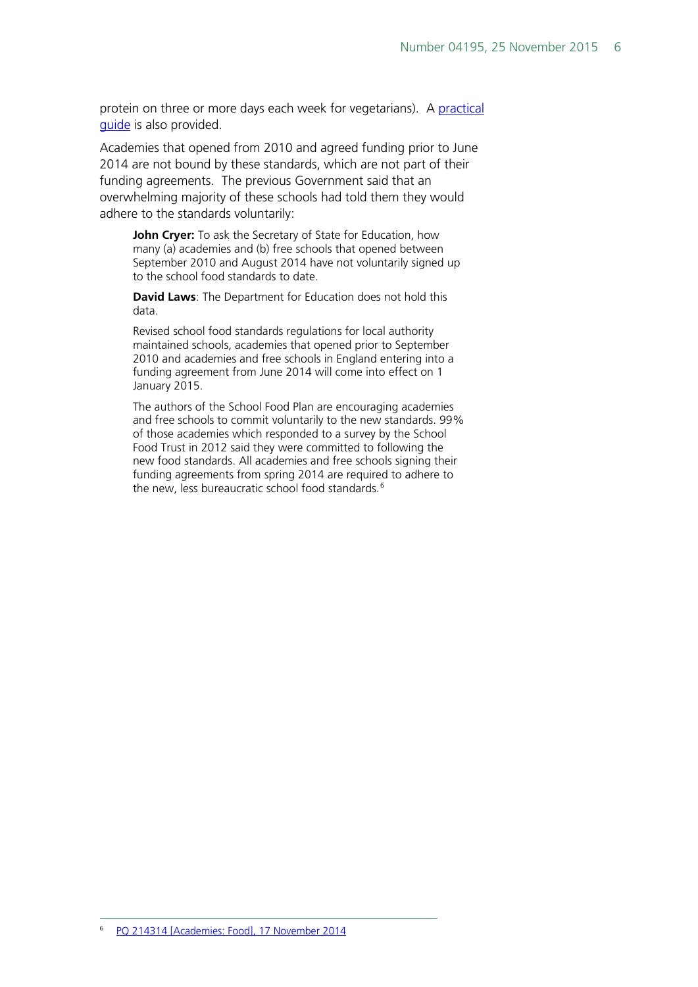protein on three or more days each week for vegetarians). A practical [guide](http://www.schoolfoodplan.com/wp-content/uploads/2014/09/School-Food-Standards-Guidance-FINAL-140911-V2C.pdf) is also provided.

Academies that opened from 2010 and agreed funding prior to June 2014 are not bound by these standards, which are not part of their funding agreements. The previous Government said that an overwhelming majority of these schools had told them they would adhere to the standards voluntarily:

**John Cryer:** To ask the Secretary of State for Education, how many (a) academies and (b) free schools that opened between September 2010 and August 2014 have not voluntarily signed up to the school food standards to date.

**David Laws**: The Department for Education does not hold this data.

Revised school food standards regulations for local authority maintained schools, academies that opened prior to September 2010 and academies and free schools in England entering into a funding agreement from June 2014 will come into effect on 1 January 2015.

<span id="page-5-0"></span>The authors of the School Food Plan are encouraging academies and free schools to commit voluntarily to the new standards. 99% of those academies which responded to a survey by the School Food Trust in 2012 said they were committed to following the new food standards. All academies and free schools signing their funding agreements from spring 2014 are required to adhere to the new, less bureaucratic school food standards.<sup>[6](#page-5-0)</sup>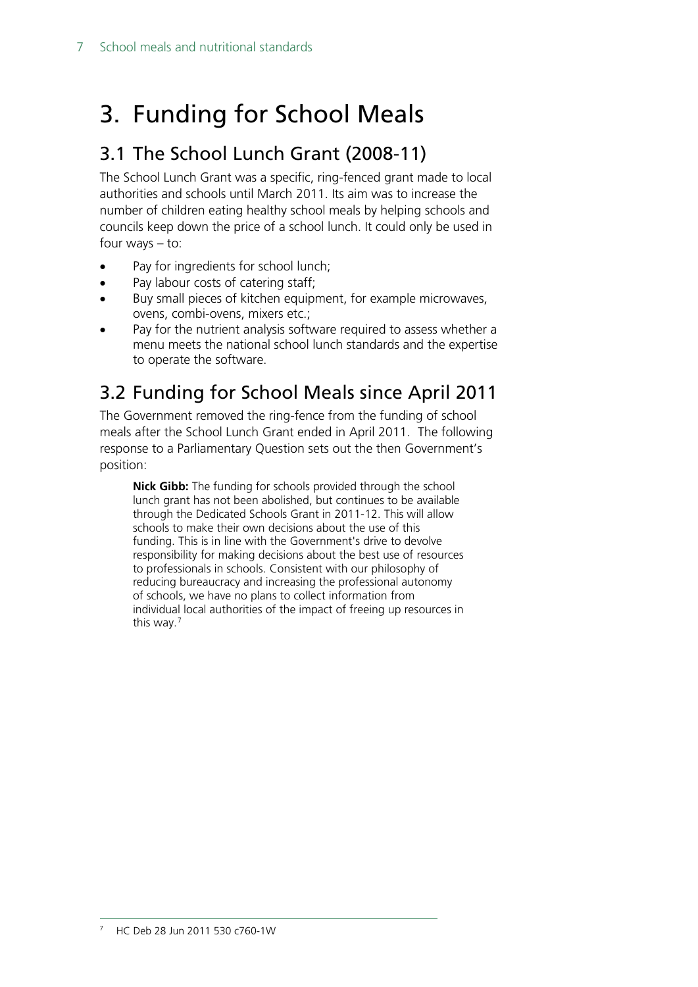# <span id="page-6-0"></span>3. Funding for School Meals

### <span id="page-6-1"></span>3.1 The School Lunch Grant (2008-11)

The School Lunch Grant was a specific, ring-fenced grant made to local authorities and schools until March 2011. Its aim was to increase the number of children eating healthy school meals by helping schools and councils keep down the price of a school lunch. It could only be used in four ways – to:

- Pay for ingredients for school lunch;
- Pay labour costs of catering staff;
- Buy small pieces of kitchen equipment, for example microwaves, ovens, combi-ovens, mixers etc.;
- Pay for the nutrient analysis software required to assess whether a menu meets the national school lunch standards and the expertise to operate the software.

## <span id="page-6-2"></span>3.2 Funding for School Meals since April 2011

The Government removed the ring-fence from the funding of school meals after the School Lunch Grant ended in April 2011. The following response to a Parliamentary Question sets out the then Government's position:

<span id="page-6-3"></span>**Nick Gibb:** The funding for schools provided through the school lunch grant has not been abolished, but continues to be available through the Dedicated Schools Grant in 2011-12. This will allow schools to make their own decisions about the use of this funding. This is in line with the Government's drive to devolve responsibility for making decisions about the best use of resources to professionals in schools. Consistent with our philosophy of reducing bureaucracy and increasing the professional autonomy of schools, we have no plans to collect information from individual local authorities of the impact of freeing up resources in this way.[7](#page-6-3)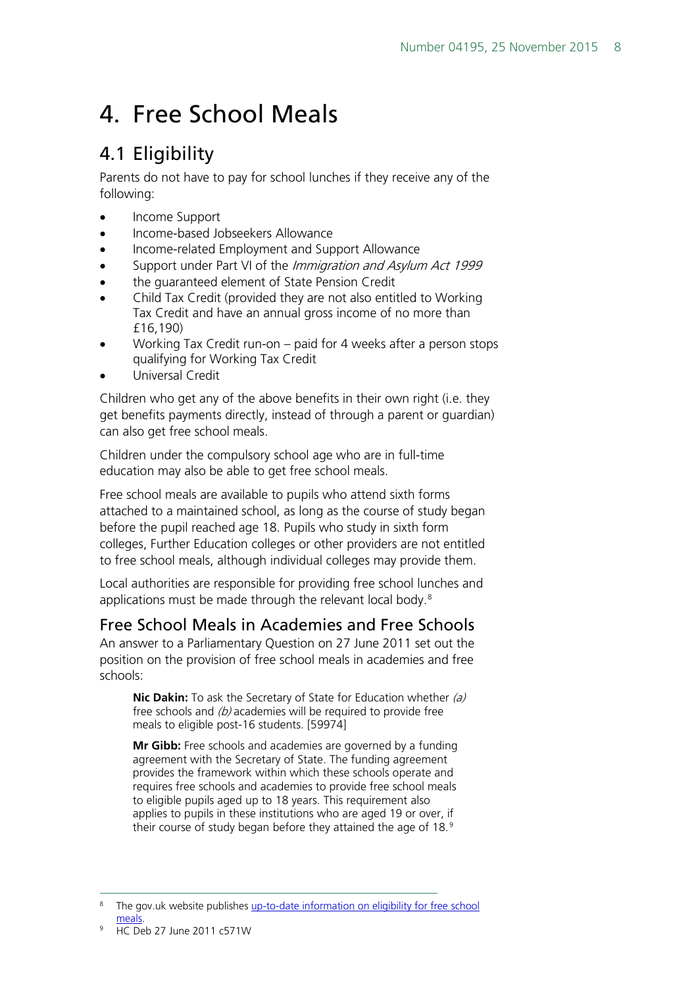# <span id="page-7-0"></span>4. Free School Meals

## <span id="page-7-1"></span>4.1 Eligibility

Parents do not have to pay for school lunches if they receive any of the following:

- Income Support
- Income-based Jobseekers Allowance
- Income-related Employment and Support Allowance
- Support under Part VI of the *Immigration and Asylum Act 1999*
- the quaranteed element of State Pension Credit
- Child Tax Credit (provided they are not also entitled to Working Tax Credit and have an annual gross income of no more than £16,190)
- Working Tax Credit run-on paid for 4 weeks after a person stops qualifying for Working Tax Credit
- Universal Credit

Children who get any of the above benefits in their own right (i.e. they get benefits payments directly, instead of through a parent or guardian) can also get free school meals.

Children under the compulsory school age who are in full-time education may also be able to get free school meals.

Free school meals are available to pupils who attend sixth forms attached to a maintained school, as long as the course of study began before the pupil reached age 18. Pupils who study in sixth form colleges, Further Education colleges or other providers are not entitled to free school meals, although individual colleges may provide them.

Local authorities are responsible for providing free school lunches and applications must be made through the relevant local body.<sup>[8](#page-7-3)</sup>

### <span id="page-7-2"></span>Free School Meals in Academies and Free Schools

An answer to a Parliamentary Question on 27 June 2011 set out the position on the provision of free school meals in academies and free schools:

**Nic Dakin:** To ask the Secretary of State for Education whether (a) free schools and  $(b)$  academies will be required to provide free meals to eligible post-16 students. [59974]

**Mr Gibb:** Free schools and academies are governed by a funding agreement with the Secretary of State. The funding agreement provides the framework within which these schools operate and requires free schools and academies to provide free school meals to eligible pupils aged up to 18 years. This requirement also applies to pupils in these institutions who are aged 19 or over, if their course of study began before they attained the age of 18.<sup>[9](#page-7-4)</sup>

<span id="page-7-4"></span><span id="page-7-3"></span>The gov.uk website publishes up-to-date information on eligibility for free school [meals.](https://www.gov.uk/apply-free-school-meals)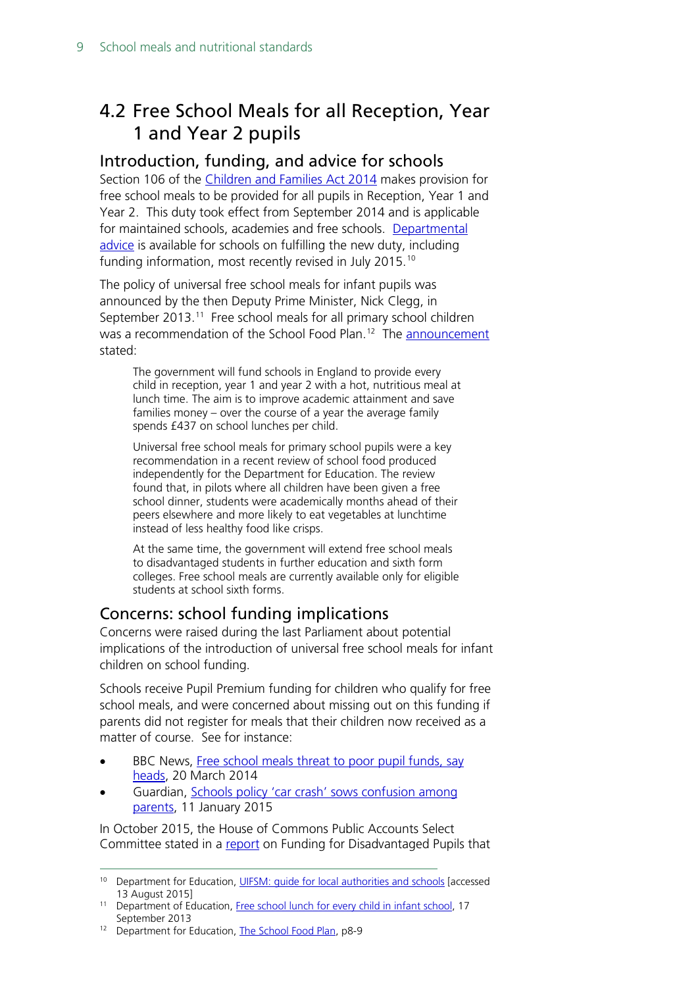## <span id="page-8-0"></span>4.2 Free School Meals for all Reception, Year 1 and Year 2 pupils

#### <span id="page-8-1"></span>Introduction, funding, and advice for schools

Section 106 of the [Children and Families Act 2014](http://www.legislation.gov.uk/ukpga/2014/6/section/106/enacted) makes provision for free school meals to be provided for all pupils in Reception, Year 1 and Year 2. This duty took effect from September 2014 and is applicable for maintained schools, academies and free schools. [Departmental](https://www.gov.uk/universal-infant-free-school-meals-guide-for-schools-and-local-authorities)  [advice](https://www.gov.uk/universal-infant-free-school-meals-guide-for-schools-and-local-authorities) is available for schools on fulfilling the new duty, including funding information, most recently revised in July 2015. [10](#page-8-3)

The policy of universal free school meals for infant pupils was announced by the then Deputy Prime Minister, Nick Clegg, in September 2013.<sup>[11](#page-8-4)</sup> Free school meals for all primary school children was a recommendation of the School Food Plan.<sup>[12](#page-8-5)</sup> The [announcement](https://www.gov.uk/government/news/free-school-lunch-for-every-child-in-infant-school) stated:

The government will fund schools in England to provide every child in reception, year 1 and year 2 with a hot, nutritious meal at lunch time. The aim is to improve academic attainment and save families money – over the course of a year the average family spends £437 on school lunches per child.

Universal free school meals for primary school pupils were a key recommendation in a recent review of school food produced independently for the Department for Education. The review found that, in pilots where all children have been given a free school dinner, students were academically months ahead of their peers elsewhere and more likely to eat vegetables at lunchtime instead of less healthy food like crisps.

At the same time, the government will extend free school meals to disadvantaged students in further education and sixth form colleges. Free school meals are currently available only for eligible students at school sixth forms.

### <span id="page-8-2"></span>Concerns: school funding implications

Concerns were raised during the last Parliament about potential implications of the introduction of universal free school meals for infant children on school funding.

Schools receive Pupil Premium funding for children who qualify for free school meals, and were concerned about missing out on this funding if parents did not register for meals that their children now received as a matter of course. See for instance:

- BBC News, Free school meals threat to poor pupil funds, say [heads,](http://www.bbc.co.uk/news/education-26665336) 20 March 2014
- Guardian, [Schools policy 'car crash' sows confusion among](http://www.theguardian.com/education/2015/jan/11/schools-policy-car-crash-confusion-meals-pupil-premium)  [parents,](http://www.theguardian.com/education/2015/jan/11/schools-policy-car-crash-confusion-meals-pupil-premium) 11 January 2015

In October 2015, the House of Commons Public Accounts Select Committee stated in a [report](http://www.publications.parliament.uk/pa/cm201516/cmselect/cmpubacc/327/327.pdf) on Funding for Disadvantaged Pupils that

<span id="page-8-3"></span> <sup>10</sup> Department for Education, [UIFSM: guide for local authorities and schools](https://www.gov.uk/universal-infant-free-school-meals-guide-for-schools-and-local-authorities) [accessed 13 August 2015]

<span id="page-8-4"></span><sup>&</sup>lt;sup>11</sup> Department of Education, [Free school lunch for every child in infant school,](https://www.gov.uk/government/news/free-school-lunch-for-every-child-in-infant-school) 17 September 2013

<span id="page-8-5"></span><sup>&</sup>lt;sup>12</sup> Department for Education, [The School Food Plan,](https://www.gov.uk/government/publications/the-school-food-plan) p8-9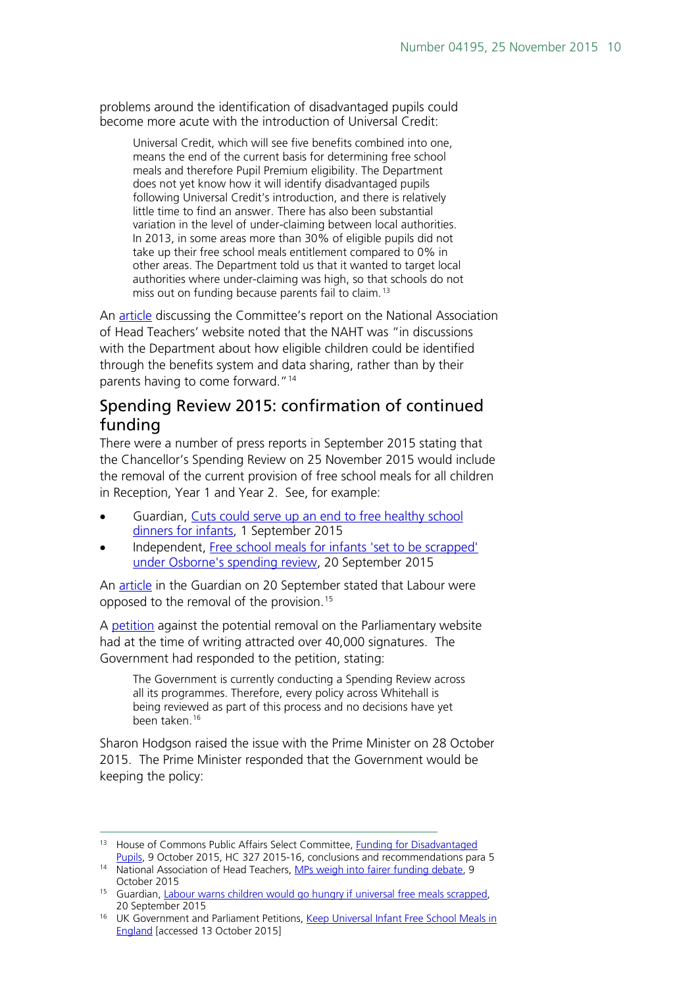problems around the identification of disadvantaged pupils could become more acute with the introduction of Universal Credit:

Universal Credit, which will see five benefits combined into one, means the end of the current basis for determining free school meals and therefore Pupil Premium eligibility. The Department does not yet know how it will identify disadvantaged pupils following Universal Credit's introduction, and there is relatively little time to find an answer. There has also been substantial variation in the level of under-claiming between local authorities. In 2013, in some areas more than 30% of eligible pupils did not take up their free school meals entitlement compared to 0% in other areas. The Department told us that it wanted to target local authorities where under-claiming was high, so that schools do not miss out on funding because parents fail to claim.<sup>[13](#page-9-1)</sup>

An [article](http://www.naht.org.uk/welcome/news-and-media/blogs/susan-young/mps-weigh-in-to-fairer-funding-debate/) discussing the Committee's report on the National Association of Head Teachers' website noted that the NAHT was "in discussions with the Department about how eligible children could be identified through the benefits system and data sharing, rather than by their parents having to come forward."<sup>[14](#page-9-2)</sup>

### <span id="page-9-0"></span>Spending Review 2015: confirmation of continued funding

There were a number of press reports in September 2015 stating that the Chancellor's Spending Review on 25 November 2015 would include the removal of the current provision of free school meals for all children in Reception, Year 1 and Year 2. See, for example:

- Guardian, [Cuts could serve up an end to free healthy school](http://www.theguardian.com/education/2015/sep/01/cuts-free-healthy-school-dinners-infants-budget-universal)  [dinners for infants,](http://www.theguardian.com/education/2015/sep/01/cuts-free-healthy-school-dinners-infants-budget-universal) 1 September 2015
- Independent, [Free school meals for infants 'set to be scrapped'](http://www.independent.co.uk/news/education/education-news/free-school-meals-for-infants-set-to-be-scrapped-under-osbornes-spending-review-10509664.html)  [under Osborne's spending review,](http://www.independent.co.uk/news/education/education-news/free-school-meals-for-infants-set-to-be-scrapped-under-osbornes-spending-review-10509664.html) 20 September 2015

An [article](http://www.theguardian.com/education/2015/sep/20/labour-warns-children-would-go-hungry-if-universal-free-meals-scrapped) in the Guardian on 20 September stated that Labour were opposed to the removal of the provision.<sup>[15](#page-9-3)</sup>

A [petition](https://petition.parliament.uk/petitions/107913) against the potential removal on the Parliamentary website had at the time of writing attracted over 40,000 signatures. The Government had responded to the petition, stating:

The Government is currently conducting a Spending Review across all its programmes. Therefore, every policy across Whitehall is being reviewed as part of this process and no decisions have yet been taken.[16](#page-9-4)

Sharon Hodgson raised the issue with the Prime Minister on 28 October 2015. The Prime Minister responded that the Government would be keeping the policy:

<span id="page-9-1"></span><sup>13</sup> House of Commons Public Affairs Select Committee, Funding for Disadvantaged [Pupils,](http://www.publications.parliament.uk/pa/cm201516/cmselect/cmpubacc/327/327.pdf) 9 October 2015, HC 327 2015-16, conclusions and recommendations para 5

<span id="page-9-2"></span><sup>&</sup>lt;sup>14</sup> National Association of Head Teachers, [MPs weigh into fairer funding debate,](http://www.naht.org.uk/welcome/news-and-media/blogs/susan-young/mps-weigh-in-to-fairer-funding-debate/) 9 October 2015

<span id="page-9-3"></span><sup>&</sup>lt;sup>15</sup> Guardian, [Labour warns children would go hungry if universal free meals scrapped,](http://www.theguardian.com/education/2015/sep/20/labour-warns-children-would-go-hungry-if-universal-free-meals-scrapped) 20 September 2015

<span id="page-9-4"></span><sup>&</sup>lt;sup>16</sup> UK Government and Parliament Petitions, Keep Universal Infant Free School Meals in [England](https://petition.parliament.uk/petitions/107913) [accessed 13 October 2015]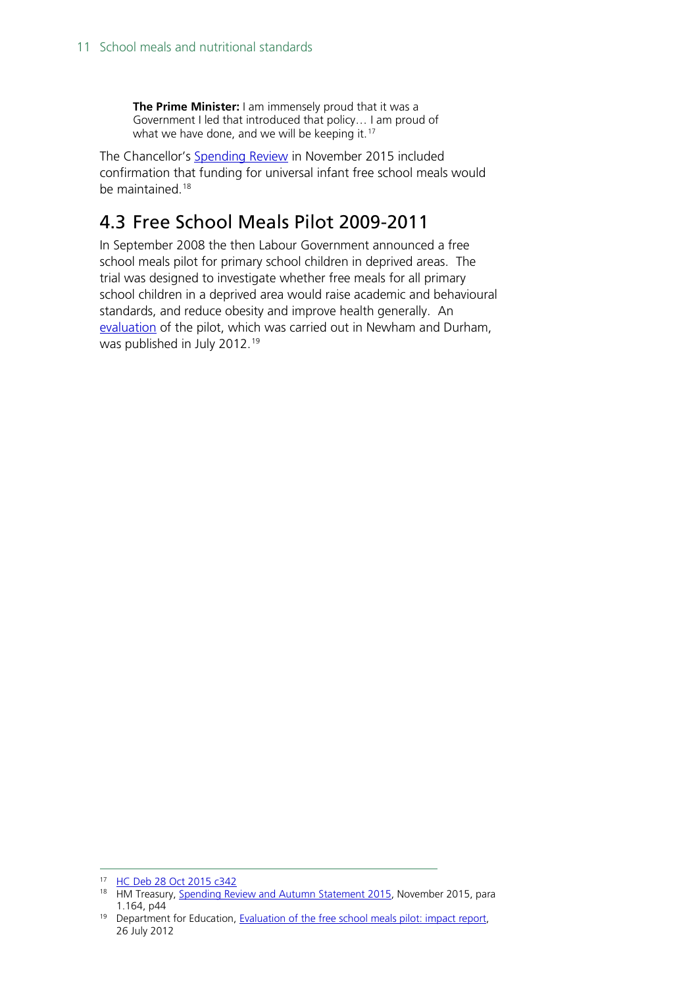**The Prime Minister:** I am immensely proud that it was a Government I led that introduced that policy… I am proud of what we have done, and we will be keeping it.<sup>[17](#page-10-1)</sup>

The Chancellor's [Spending Review](https://www.gov.uk/government/uploads/system/uploads/attachment_data/file/479749/52229_Blue_Book_PU1865_Web_Accessible.pdf) in November 2015 included confirmation that funding for universal infant free school meals would be maintained.<sup>[18](#page-10-2)</sup>

### <span id="page-10-0"></span>4.3 Free School Meals Pilot 2009-2011

In September 2008 the then Labour Government announced a free school meals pilot for primary school children in deprived areas. The trial was designed to investigate whether free meals for all primary school children in a deprived area would raise academic and behavioural standards, and reduce obesity and improve health generally. An [evaluation](https://www.gov.uk/government/publications/evaluation-of-the-free-school-meals-pilot-impact-report) of the pilot, which was carried out in Newham and Durham, was published in July 2012.<sup>[19](#page-10-3)</sup>

<span id="page-10-2"></span><span id="page-10-1"></span> <sup>17</sup> [HC Deb 28 Oct 2015 c342](http://www.publications.parliament.uk/pa/cm201516/cmhansrd/cm151028/debtext/151028-0001.htm#15102833000010)

<sup>&</sup>lt;sup>18</sup> HM Treasury, [Spending Review and Autumn Statement 2015,](https://www.gov.uk/government/uploads/system/uploads/attachment_data/file/479749/52229_Blue_Book_PU1865_Web_Accessible.pdf) November 2015, para 1.164, p44

<span id="page-10-3"></span><sup>&</sup>lt;sup>19</sup> Department for Education, [Evaluation of the free school meals pilot: impact report,](https://www.gov.uk/government/publications/evaluation-of-the-free-school-meals-pilot-impact-report) 26 July 2012